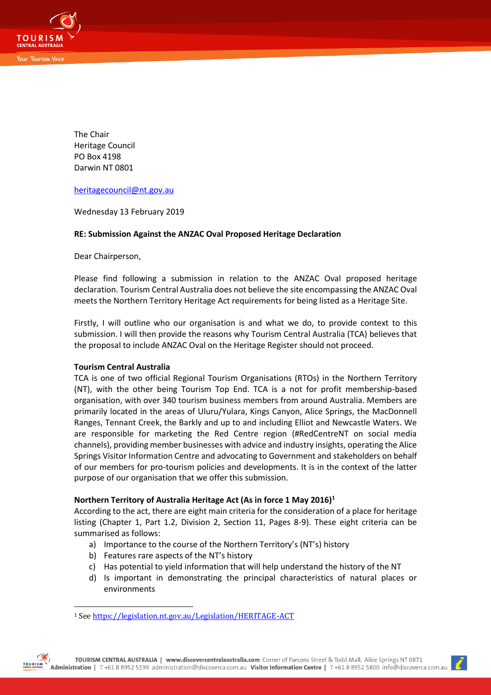

The Chair Heritage Council PO Box 4198 Darwin NT 0801

[heritagecouncil@nt.gov.au](mailto:heritagecouncil@nt.gov.au)

Wednesday 13 February 2019

# **RE: Submission Against the ANZAC Oval Proposed Heritage Declaration**

Dear Chairperson,

Please find following a submission in relation to the ANZAC Oval proposed heritage declaration. Tourism Central Australia does not believe the site encompassing the ANZAC Oval meets the Northern Territory Heritage Act requirements for being listed as a Heritage Site.

Firstly, I will outline who our organisation is and what we do, to provide context to this submission. I will then provide the reasons why Tourism Central Australia (TCA) believes that the proposal to include ANZAC Oval on the Heritage Register should not proceed.

### **Tourism Central Australia**

TCA is one of two official Regional Tourism Organisations (RTOs) in the Northern Territory (NT), with the other being Tourism Top End. TCA is a not for profit membership-based organisation, with over 340 tourism business members from around Australia. Members are primarily located in the areas of Uluru/Yulara, Kings Canyon, Alice Springs, the MacDonnell Ranges, Tennant Creek, the Barkly and up to and including Elliot and Newcastle Waters. We are responsible for marketing the Red Centre region (#RedCentreNT on social media channels), providing member businesses with advice and industry insights, operating the Alice Springs Visitor Information Centre and advocating to Government and stakeholders on behalf of our members for pro-tourism policies and developments. It is in the context of the latter purpose of our organisation that we offer this submission.

# **Northern Territory of Australia Heritage Act (As in force 1 May 2016)<sup>1</sup>**

According to the act, there are eight main criteria for the consideration of a place for heritage listing (Chapter 1, Part 1.2, Division 2, Section 11, Pages 8-9). These eight criteria can be summarised as follows:

- a) Importance to the course of the Northern Territory's (NT's) history
- b) Features rare aspects of the NT's history
- c) Has potential to yield information that will help understand the history of the NT
- d) Is important in demonstrating the principal characteristics of natural places or environments

 $\overline{a}$ 

<sup>1</sup> Se[e https://legislation.nt.gov.au/Legislation/HERITAGE-ACT](https://legislation.nt.gov.au/Legislation/HERITAGE-ACT)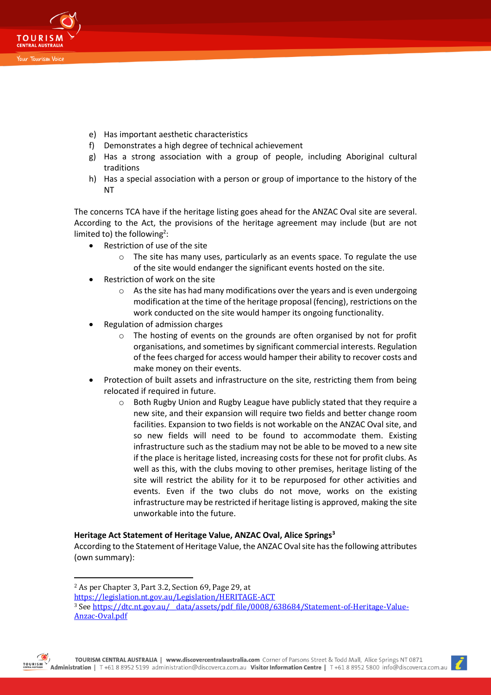

- e) Has important aesthetic characteristics
- f) Demonstrates a high degree of technical achievement
- g) Has a strong association with a group of people, including Aboriginal cultural traditions
- h) Has a special association with a person or group of importance to the history of the NT

The concerns TCA have if the heritage listing goes ahead for the ANZAC Oval site are several. According to the Act, the provisions of the heritage agreement may include (but are not limited to) the following<sup>2</sup>:

- Restriction of use of the site
	- o The site has many uses, particularly as an events space. To regulate the use of the site would endanger the significant events hosted on the site.
- Restriction of work on the site
	- o As the site has had many modifications over the years and is even undergoing modification at the time of the heritage proposal (fencing), restrictions on the work conducted on the site would hamper its ongoing functionality.
- Regulation of admission charges
	- o The hosting of events on the grounds are often organised by not for profit organisations, and sometimes by significant commercial interests. Regulation of the fees charged for access would hamper their ability to recover costs and make money on their events.
- Protection of built assets and infrastructure on the site, restricting them from being relocated if required in future.
	- $\circ$  Both Rugby Union and Rugby League have publicly stated that they require a new site, and their expansion will require two fields and better change room facilities. Expansion to two fields is not workable on the ANZAC Oval site, and so new fields will need to be found to accommodate them. Existing infrastructure such as the stadium may not be able to be moved to a new site if the place is heritage listed, increasing costs for these not for profit clubs. As well as this, with the clubs moving to other premises, heritage listing of the site will restrict the ability for it to be repurposed for other activities and events. Even if the two clubs do not move, works on the existing infrastructure may be restricted if heritage listing is approved, making the site unworkable into the future.

# **Heritage Act Statement of Heritage Value, ANZAC Oval, Alice Springs<sup>3</sup>**

According to the Statement of Heritage Value, the ANZAC Oval site has the following attributes (own summary):

 $\overline{a}$ 



<sup>2</sup> As per Chapter 3, Part 3.2, Section 69, Page 29, at

<https://legislation.nt.gov.au/Legislation/HERITAGE-ACT>

<sup>&</sup>lt;sup>3</sup> See https://dtc.nt.gov.au/\_data/assets/pdf\_file/0008/638684/Statement-of-Heritage-Value-[Anzac-Oval.pdf](https://dtc.nt.gov.au/__data/assets/pdf_file/0008/638684/Statement-of-Heritage-Value-Anzac-Oval.pdf)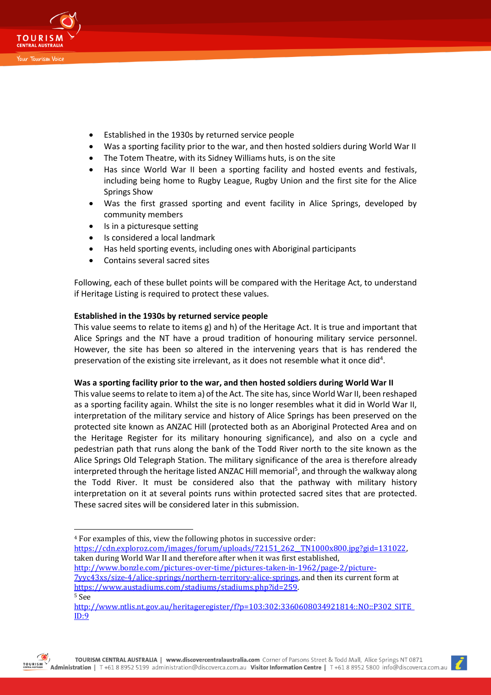

- Established in the 1930s by returned service people
- Was a sporting facility prior to the war, and then hosted soldiers during World War II
- The Totem Theatre, with its Sidney Williams huts, is on the site
- Has since World War II been a sporting facility and hosted events and festivals, including being home to Rugby League, Rugby Union and the first site for the Alice Springs Show
- Was the first grassed sporting and event facility in Alice Springs, developed by community members
- Is in a picturesque setting
- Is considered a local landmark
- Has held sporting events, including ones with Aboriginal participants
- Contains several sacred sites

Following, each of these bullet points will be compared with the Heritage Act, to understand if Heritage Listing is required to protect these values.

# **Established in the 1930s by returned service people**

This value seems to relate to items g) and h) of the Heritage Act. It is true and important that Alice Springs and the NT have a proud tradition of honouring military service personnel. However, the site has been so altered in the intervening years that is has rendered the preservation of the existing site irrelevant, as it does not resemble what it once did<sup>4</sup>.

### **Was a sporting facility prior to the war, and then hosted soldiers during World War II**

This value seems to relate to item a) of the Act. The site has, since World War II, been reshaped as a sporting facility again. Whilst the site is no longer resembles what it did in World War II, interpretation of the military service and history of Alice Springs has been preserved on the protected site known as ANZAC Hill (protected both as an Aboriginal Protected Area and on the Heritage Register for its military honouring significance), and also on a cycle and pedestrian path that runs along the bank of the Todd River north to the site known as the Alice Springs Old Telegraph Station. The military significance of the area is therefore already interpreted through the heritage listed ANZAC Hill memorial<sup>5</sup>, and through the walkway along the Todd River. It must be considered also that the pathway with military history interpretation on it at several points runs within protected sacred sites that are protected. These sacred sites will be considered later in this submission.

[http://www.bonzle.com/pictures-over-time/pictures-taken-in-1962/page-2/picture-](http://www.bonzle.com/pictures-over-time/pictures-taken-in-1962/page-2/picture-7yyc43xs/size-4/alice-springs/northern-territory-alice-springs)

[7yyc43xs/size-4/alice-springs/northern-territory-alice-springs,](http://www.bonzle.com/pictures-over-time/pictures-taken-in-1962/page-2/picture-7yyc43xs/size-4/alice-springs/northern-territory-alice-springs) and then its current form at [https://www.austadiums.com/stadiums/stadiums.php?id=259.](https://www.austadiums.com/stadiums/stadiums.php?id=259)  <sup>5</sup> See



 $\overline{a}$ <sup>4</sup> For examples of this, view the following photos in successive order:

https://cdn.exploroz.com/images/forum/uploads/72151\_262\_TN1000x800.jpg?gid=131022, taken during World War II and therefore after when it was first established,

[http://www.ntlis.nt.gov.au/heritageregister/f?p=103:302:3360608034921814::NO::P302\\_SITE\\_](http://www.ntlis.nt.gov.au/heritageregister/f?p=103:302:3360608034921814::NO::P302_SITE_ID:9) [ID:9](http://www.ntlis.nt.gov.au/heritageregister/f?p=103:302:3360608034921814::NO::P302_SITE_ID:9)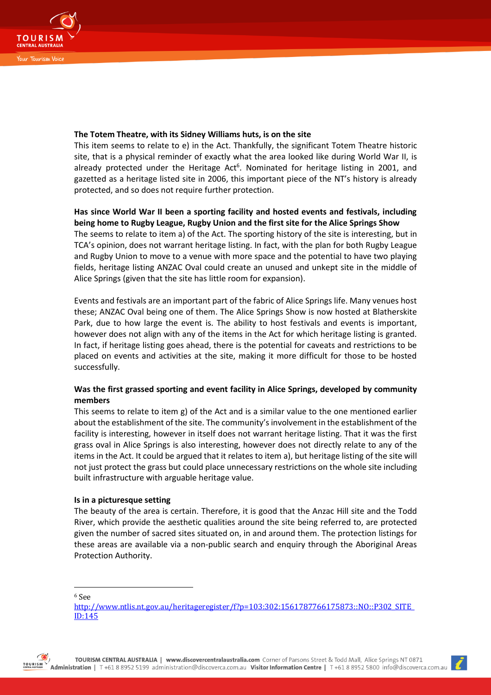

## **The Totem Theatre, with its Sidney Williams huts, is on the site**

This item seems to relate to e) in the Act. Thankfully, the significant Totem Theatre historic site, that is a physical reminder of exactly what the area looked like during World War II, is already protected under the Heritage Act<sup>6</sup>. Nominated for heritage listing in 2001, and gazetted as a heritage listed site in 2006, this important piece of the NT's history is already protected, and so does not require further protection.

# **Has since World War II been a sporting facility and hosted events and festivals, including being home to Rugby League, Rugby Union and the first site for the Alice Springs Show** The seems to relate to item a) of the Act. The sporting history of the site is interesting, but in TCA's opinion, does not warrant heritage listing. In fact, with the plan for both Rugby League

and Rugby Union to move to a venue with more space and the potential to have two playing fields, heritage listing ANZAC Oval could create an unused and unkept site in the middle of Alice Springs (given that the site has little room for expansion).

Events and festivals are an important part of the fabric of Alice Springs life. Many venues host these; ANZAC Oval being one of them. The Alice Springs Show is now hosted at Blatherskite Park, due to how large the event is. The ability to host festivals and events is important, however does not align with any of the items in the Act for which heritage listing is granted. In fact, if heritage listing goes ahead, there is the potential for caveats and restrictions to be placed on events and activities at the site, making it more difficult for those to be hosted successfully.

# **Was the first grassed sporting and event facility in Alice Springs, developed by community members**

This seems to relate to item g) of the Act and is a similar value to the one mentioned earlier about the establishment of the site. The community's involvement in the establishment of the facility is interesting, however in itself does not warrant heritage listing. That it was the first grass oval in Alice Springs is also interesting, however does not directly relate to any of the items in the Act. It could be argued that it relates to item a), but heritage listing of the site will not just protect the grass but could place unnecessary restrictions on the whole site including built infrastructure with arguable heritage value.

# **Is in a picturesque setting**

The beauty of the area is certain. Therefore, it is good that the Anzac Hill site and the Todd River, which provide the aesthetic qualities around the site being referred to, are protected given the number of sacred sites situated on, in and around them. The protection listings for these areas are available via a non-public search and enquiry through the Aboriginal Areas Protection Authority.

<sup>6</sup> See

 $\overline{a}$ 





[http://www.ntlis.nt.gov.au/heritageregister/f?p=103:302:1561787766175873::NO::P302\\_SITE\\_](http://www.ntlis.nt.gov.au/heritageregister/f?p=103:302:1561787766175873::NO::P302_SITE_ID:145) [ID:145](http://www.ntlis.nt.gov.au/heritageregister/f?p=103:302:1561787766175873::NO::P302_SITE_ID:145)